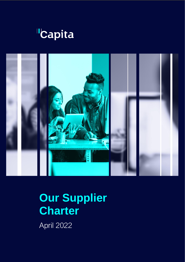



# **Our Supplier Charter**

April 2022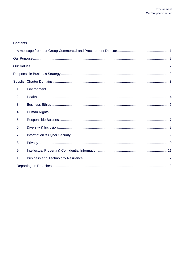#### Contents

| 1.  |  |  |  |  |
|-----|--|--|--|--|
| 2.  |  |  |  |  |
| 3.  |  |  |  |  |
| 4.  |  |  |  |  |
| 5.  |  |  |  |  |
| 6.  |  |  |  |  |
| 7.  |  |  |  |  |
| 8.  |  |  |  |  |
| 9.  |  |  |  |  |
| 10. |  |  |  |  |
|     |  |  |  |  |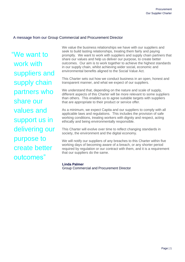### <span id="page-2-0"></span>A message from our Group Commercial and Procurement Director

"We want to work with suppliers and supply chain partners who share our values and support us in delivering our purpose to create better outcomes"

We value the business relationships we have with our suppliers and seek to build lasting relationships, treating them fairly and paying promptly. We want to work with suppliers and supply chain partners that share our values and help us deliver our purpose, to create better outcomes. Our aim is to work together to achieve the highest standards in our supply chain, whilst achieving wider social, economic and environmental benefits aligned to the Social Value Act.

This Charter sets out how we conduct business in an open, honest and transparent manner, and what we expect of our suppliers.

We understand that, depending on the nature and scale of supply, different aspects of this Charter will be more relevant to some suppliers than others. This enables us to agree suitable targets with suppliers that are appropriate to their product or service offer.

As a minimum, we expect Capita and our suppliers to comply with all applicable laws and regulations. This includes the provision of safe working conditions, treating workers with dignity and respect, acting ethically and being environmentally responsible.

This Charter will evolve over time to reflect changing standards in society, the environment and the digital economy.

We will notify our suppliers of any breaches to this Charter within five working days of becoming aware of a breach, or any shorter period required by regulation or our contract with them, and it is a requirement that our suppliers do the same.

#### **Linda Palmer**

Group Commercial and Procurement Director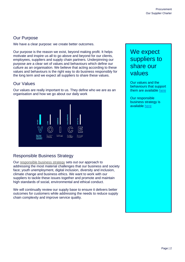# <span id="page-3-0"></span>Our Purpose

We have a clear purpose: we create better outcomes.

Our purpose is the reason we exist, beyond making profit. It helps motivate and inspire us all to go above and beyond for our clients, employees, suppliers and supply chain partners. Underpinning our purpose are a clear set of values and behaviours which define our culture as an organisation. We believe that acting according to these values and behaviours is the right way to do business responsibly for the long term and we expect all suppliers to share these values.

# <span id="page-3-1"></span>Our Values

Our values are really important to us. They define who we are as an organisation and how we go about our daily work



# <span id="page-3-2"></span>Responsible Business Strategy

Our responsible business strategy sets out our approach to addressing the most material challenges that our business and society face; youth unemployment, digital inclusion, diversity and inclusion, climate change and business ethics. We want to work with our suppliers to tackle these issues together and promote and maintain high standards of social, environmental and ethical conduct.

We will continually review our supply base to ensure it delivers better outcomes for customers while addressing the needs to reduce supply chain complexity and improve service quality.

# We expect suppliers to share our values

Our values and the behaviours that support them are available [here](https://www.capita.com/our-company/about-capita/our-values)

Our responsible business strategy is available [here](https://www.capita.com/responsible-business)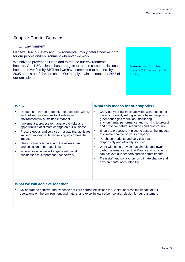# <span id="page-4-0"></span>Supplier Charter Domains

<span id="page-4-1"></span>1. Environment

Capita's Health, Safety and Environmental Policy details how we care for our people and environment wherever we work.

We strive to prevent pollution and to reduce our environmental impacts. Our 1.5C science based targets to reduce carbon emissions have been verified by SBTi and we have committed to net zero by 2035 across our full value chain. Our supply chain accounts for 80% of our emissions.

Please visit our Health, [Safety & Environmental](https://www.capita.com/sites/g/files/nginej291/files/2021-09/Health-Safety-and-Environmental-Policy%20%28Global%29.pdf)  **[Policy](https://www.capita.com/sites/g/files/nginej291/files/2021-09/Health-Safety-and-Environmental-Policy%20%28Global%29.pdf)** 

#### **We will** Reduce our carbon footprint, use resources wisely and deliver our services to clients in an environmentally sustainable manner • Implement a process to manage the risks and opportunities of climate change on our business • Procure goods and services in a way that achieves value for money while minimising environmental impact Use sustainability criteria in the assessment and selection of our suppliers Where possible we will engage with local businesses to support contract delivery **What this means for our suppliers** Carry out your business activities with respect for the environment, setting science based targets for greenhouse gas reduction, monitoring environmental performance and working to protect and preserve natural resources and biodiversity Ensure a process is in place to assess the impacts of climate change on your company • Purchase products and services that are responsibly and ethically sourced Work with us to provide sustainable and lowercarbon alternatives so that Capita and our clients can achieve our net zero carbon commitments • Train staff and contractors on climate change and environmental accountability

#### **What we will achieve together**

 Collaborate to achieve and evidence net zero carbon emissions for Capita, address the impact of our operations on the environment and nature, and excel in low carbon solution design for our customers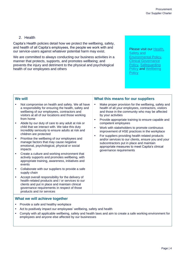# 2. Health

<span id="page-5-0"></span>Capita's Health policies detail how we protect the wellbeing, safety, and health of all Capita's employees, the people we work with and our service-users against whatever potential harm may exist.

We are committed to always conducting our business activities in a manner that protects, supports, and promotes wellbeing; and prevents the injury and detriment to the physical and psychological health of our employees and others

Please visit our Health, [Safety and](http://documents.capitaconnections.capita.zone/Published%20Documents/Health%20Safety%20and%20Environmental%20-%20Policy%20(Global).pdf)  [Environmental Policy,](http://documents.capitaconnections.capita.zone/Published%20Documents/Health%20Safety%20and%20Environmental%20-%20Policy%20(Global).pdf) [Clinical Governance](file:///C:/Users/p50003971/AppData/Local/Microsoft/Windows/INetCache/Content.Outlook/JISLSGI2/Clinical%20Governance%20Policy_Final.pdf)  [Policy,](file:///C:/Users/p50003971/AppData/Local/Microsoft/Windows/INetCache/Content.Outlook/JISLSGI2/Clinical%20Governance%20Policy_Final.pdf) [Safeguarding](file:///C:/Users/p50003971/AppData/Local/Microsoft/Windows/INetCache/Content.Outlook/JISLSGI2/Group%20Safeguarding%20Policy.pdf)  [Policy](file:///C:/Users/p50003971/AppData/Local/Microsoft/Windows/INetCache/Content.Outlook/JISLSGI2/Group%20Safeguarding%20Policy.pdf) and [Wellbeing](file:///C:/Users/p50003971/AppData/Local/Microsoft/Windows/INetCache/Content.Outlook/JISLSGI2/Group%20Wellbeing%20Policy.pdf)  **[Policy](file:///C:/Users/p50003971/AppData/Local/Microsoft/Windows/INetCache/Content.Outlook/JISLSGI2/Group%20Wellbeing%20Policy.pdf)** 

#### **We will**

- Not compromise on health and safety. We all have a responsibility for ensuring the health, safety and wellbeing of our employees, contractors and visitors at all of our locations and those working from home
- Abide by our duty of care to any adult at risk or child that we interact with. We take this duty incredibly seriously to ensure adults at risk and children are protected
- Prioritise the wellbeing of our employees and manage factors that may cause negative emotional, psychological, physical or social impacts
- Create a culture and working environment that actively supports and promotes wellbeing, with appropriate training, awareness, initiatives and events
- Collaborate with our suppliers to provide a safe supply chain
- Accept overall responsibility for the delivery of health-related products and / or services to our clients and put in place and maintain clinical governance requirements in respect of those products and /or services

#### **What we will achieve together**

- Provide a safe and healthy workplace
- Act to positively impact our employees' wellbeing, safety and health
- Comply with all applicable wellbeing, safety and health laws and aim to create a safe working environment for employees and anyone else affected by our businesses

#### **What this means for our suppliers**

- Make proper provision for the wellbeing, safety and health of all your employees, contractors, visitors and those in the community who may be affected by your activities
- Provide appropriate training to ensure capable and competent employees
- Work with stakeholders to promote continuous improvement of HSE practices in the workplace
- For suppliers providing health related products and/or services to our clients, ensure you and your subcontractors put in place and maintain appropriate measures to meet Capita's clinical governance requirements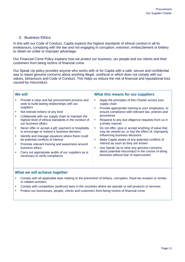#### 3. Business Ethics

<span id="page-6-0"></span>In line with our Code of Conduct, Capita expects the highest standards of ethical conduct in all its endeavours, complying with the law and not engaging in corruption, extortion, embezzlement or bribery to obtain an unfair or improper advantage.

Our Financial Crime Policy explains how we protect our business, our people and our clients and their customers from being victims of financial crime.

Our Speak Up policy provides anyone who works with or for Capita with a safe, secure and confidential way to report genuine concerns about anything illegal, unethical or which does not comply with our values, behaviours and Code of Conduct. This helps us reduce the risk of financial and reputational loss caused by misconduct.

| <b>We will</b>                                                                                                                                                                                                                                                                                                                                                                                                                                                                                                                                                                                                                                                                                                                      | What this means for our suppliers                                                                                                                                                                                                                                                                                                                                                                                                                                                                                                                                                                                      |  |
|-------------------------------------------------------------------------------------------------------------------------------------------------------------------------------------------------------------------------------------------------------------------------------------------------------------------------------------------------------------------------------------------------------------------------------------------------------------------------------------------------------------------------------------------------------------------------------------------------------------------------------------------------------------------------------------------------------------------------------------|------------------------------------------------------------------------------------------------------------------------------------------------------------------------------------------------------------------------------------------------------------------------------------------------------------------------------------------------------------------------------------------------------------------------------------------------------------------------------------------------------------------------------------------------------------------------------------------------------------------------|--|
| Provide a clear and fair procurement process and<br>seek to build lasting relationships with our<br>supply chain<br>suppliers<br>٠<br>Not tolerate bribery of any kind<br>procedures<br>Collaborate with our supply chain to maintain the<br>highest level of ethical standards in the conduct of<br>$\bullet$<br>our business affairs<br>Never offer or accept a gift, payment or hospitality<br>٠<br>to encourage or reward a business decision<br>Identify and manage situations where there could<br>be potential conflicts of interest<br>$\bullet$<br>Promote relevant training and awareness around<br>business ethics<br>$\bullet$<br>Carry out appropriate audits of our suppliers as is<br>necessary to verify compliance | Apply the principles of this Charter across your<br>Provide appropriate training to your employees, to<br>ensure compliance with relevant law, policies and<br>Respond to any due diligence requests from us in<br>a timely manner<br>Do not offer, give or accept anything of value that<br>may be viewed as, or has the effect of, improperly<br>influencing business decisions<br>Make Capita aware of any potential conflicts of<br>interest as soon as they are known<br>Use Speak Up to raise any genuine concerns<br>about potential misconduct in the course of doing<br>business without fear of repercussion |  |

#### **What we will achieve together**

- Comply with all applicable laws relating to the prevention of bribery, corruption, fraud tax evasion or similar or related activities
- Comply with competition (antitrust) laws in the countries where we operate or sell products or services
- Protect our businesses, people, clients and customers from being victims of financial crime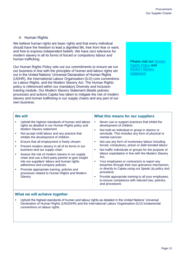# 4. Human Rights

<span id="page-7-0"></span>We believe human rights are basic rights and that every individual should have the freedom to lead a dignified life, free from fear or want, and free to express independent beliefs. We have zero tolerance for modern slavery in all its forms of forced or compulsory labour and human trafficking.

Our Human Rights Policy sets out our commitments to ensure we run our business in line with the principles of human and labour rights set out in the United Nations' Universal Declaration of Human Rights (UDHR), the International Labour Organisation (ILO) core conventions on Labour Rights, and the Modern Slavery Act. The Human Rights policy is referenced within our mandatory Diversity and Inclusion training module. Our Modern Slavery Statement details policies, processes and actions Capita has taken to mitigate the risk of modern slavery and human trafficking in our supply chains and any part of our own business.

#### Please visit our [Human](https://www.capita.com/sites/g/files/nginej291/files/acquiadam/2021-05/Human-Rights-Policy-2021.pdf)  [Rights Policy](https://www.capita.com/sites/g/files/nginej291/files/acquiadam/2021-05/Human-Rights-Policy-2021.pdf) and **Modern Slavery [Statement](https://www.capita.com/sites/g/files/nginej291/files/2021-06/Modern-Slavery-Statement-2021.pdf)**

#### **We will**

- Uphold the highest standards of human and labour rights as detailed in our Human Rights policy and Modern Slavery statement
- Not accept child labour and any practice that inhibits the development of children
- Ensure that all employment is freely chosen
- Prevent modern slavery in all of its forms in our business and our supply chain
- Assess the risk of modern slavery in our supply chain and use a third party partner to gain insight into our suppliers' labour and human rights adherence and company policies
- Promote appropriate training, policies and processes related to Human Rights and Modern **Slavery**

#### **What this means for our suppliers**

- Never use or support practices that inhibit the development of children
- Not hold an individual or group in slavery or servitude. This includes any form of physical or mental coercion
- Not use any form of involuntary labour including forced, compulsory, prison or debt-bonded labour
- Not traffic individuals or groups for the purpose of labour exploitation in line with the Modern Slavery Act.
- Your employees or contractors to report any breaches through their own grievance mechanism, or directly to Capita using our Speak Up policy and procedure.
- Provide appropriate training to all your employees, to ensure compliance with relevant law, policies, and procedures

#### **What we will achieve together**

 Uphold the highest standards of human and labour rights as detailed in the United Nations' Universal Declaration of Human Rights (UNUDHR) and the International Labour Organisation (ILO) fundamental conventions on labour rights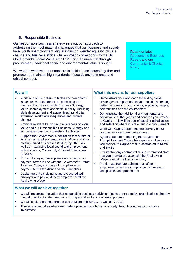## 5. Responsible Business

<span id="page-8-0"></span>Our responsible business strategy sets out our approach to addressing the most material challenges that our business and society face; youth unemployment, digital inclusion, gender equality, climate change and business ethics. Our approach corresponds to the UK Government's Social Value Act 2012 which ensures that through procurement, additional social and environmental value is sought.

We want to work with our suppliers to tackle these issues together and promote and maintain high standards of social, environmental and ethical conduct.

Responsible Business [Report](https://www.capita.com/sites/g/files/nginej291/files/acquiadam/2021-03/capita-responsible-business-report-2020.pdf) and our **Community & Charity** [Policy](https://www.capita.com/sites/g/files/nginej291/files/2020-04/capita-community-and-charity-policy.pdf)<br>Policy Read our latest

#### **We will**

- Work with our suppliers to tackle socio-economic issues relevant to both of us, prioritising the themes of our Responsible Business Strategy: youth unemployment and social mobility, including skills development and apprenticeships; digital exclusion; workplace inequalities and climate change
- Promote relevant training and awareness of social value and our Responsible Business Strategy and encourage community investment activities
- Support the Government's aspiration that a third of its external supplier spend goes to Micro and small medium-sized businesses (SMEs) by 2022. As well as maximising local spend and employment with Voluntary, Community & Social Enterprises (VCSEs)
- Commit to paying our suppliers according to our payment terms in line with the Government Prompt Payment Code, ensuring full compliance on payment terms for Micro and SME suppliers
- Capita are a Real Living Wage UK accredited employer and pay all directly employed staff the Real Living Wage

#### **What we will achieve together**

#### We will recognise the value that responsible business activities bring to our respective organisations, thereby mutually reinforcing the need for a strong social and environmental purpose

- We will seek to promote greater use of Micro and SMEs, as well as VSCEs
- Thriving communities where we made a positive contribution to society through continued community investment

#### **What this means for our suppliers**

- Demonstrate your approach to tackling global challenges of importance to your business creating better outcomes for your clients, suppliers, people, communities and the environment
- Demonstrate the additional environmental and social value of the goods and services you provide to Capita – this will be part of supplier adjudication and selection where it is relevant to a procurement
- Work with Capita supporting the delivery of our community investment programmes
- Agree to adhere to meeting the Government Prompt Payment Code where goods and services you provide to Capita are sub-contracted to Micro and SMEs
- Ensure that any contracted or sub-contracted staff that you provide are also paid the Real Living Wage rates at the first opportunity
- Provide appropriate training to all of your employees, to ensure compliance with relevant law, policies and procedures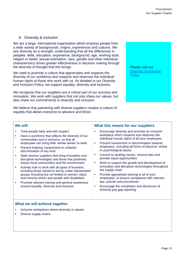#### 6. Diversity & Inclusion

<span id="page-9-0"></span>We are a large, international organisation which employs people from a wide variety of backgrounds, origins, experiences and cultures. We see diversity as a strength, understanding that all the differences in peoples' skills, education, experience, background, age, working style, religion or belief, sexual orientation, race, gender and other individual characteristics drives greater effectiveness in decision making through the diversity of thought that this brings.

We seek to promote a culture that appreciates and respects the diversity of our workforce and respects and observes the individual human rights of those who work with us. As detailed in our Diversity and Inclusion Policy, we support equality, diversity and inclusion.

We recognise that our suppliers are a critical part of our success and innovation. We work with suppliers that not only share our values, but also share our commitments to diversity and inclusion.

We believe that partnering with diverse suppliers creates a culture of equality that allows everyone to advance and thrive.

Please visit our [Diversity & Inclusion](https://www.capita.com/sites/g/files/nginej291/files/acquiadam/2021-05/Diversity-and-Inclusion-Policy-2021.pdf)  **Policy** 

#### **We will**

- Treat people fairly and with respect
- Have a workforce that reflects the diversity of our communities and is inclusive, so that all employees can bring their 'whole selves' to work
- Prevent bullying, harassment or unlawful discrimination of any kind
- Seek diverse suppliers that bring innovation and disruptive technologies and those that positively impact local communities and the environment
- Actively look to work with all types of business, including those owned or led by under-represented groups including but not limited to women, black and minority ethnic and people with disabilities
- Promote relevant training and general awareness around equality, diversity and inclusion

#### **What this means for our suppliers**

- Encourage diversity and promote an inclusive workplace which respects and observes the individual human rights of all your employees
- Prevent harassment or discrimination towards employees, including all forms of physical, verbal or psychological abuse
- Commit to tackling racism, remove bias and provide equal opportunities
- Work to support the growth and development of innovation and disruptive technologies throughout the supply chain
- Provide appropriate training to all of your employees, to ensure compliance with relevant law, policies and procedures
- Encourage the completion and disclosure of ethnicity pay gap reporting

#### **What we will achieve together**

- Inclusive workplaces where diversity is valued
- Diverse supply chains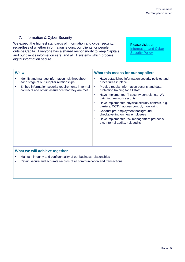#### 7. Information & Cyber Security

<span id="page-10-0"></span>We expect the highest standards of information and cyber security, regardless of whether information is ours, our clients, or people outside Capita. Everyone has a shared responsibility to keep Capita's and our client's information safe, and all IT systems which process digital information secure.

Please visit our [Information and Cyber](https://www.capita.com/sites/g/files/nginej291/files/2021-07/Information-and-Cyber-Security-Policy.pdf)  **[Security Policy](https://www.capita.com/sites/g/files/nginej291/files/2021-07/Information-and-Cyber-Security-Policy.pdf)** 

| We will |                                                                                                       | What this means for our suppliers |                                                                                                 |
|---------|-------------------------------------------------------------------------------------------------------|-----------------------------------|-------------------------------------------------------------------------------------------------|
|         | Identify and manage information risk throughout<br>each stage of our supplier relationships           | ٠                                 | Have established information security policies and<br>procedures in place                       |
|         | Embed information security requirements in formal<br>contracts and obtain assurance that they are met | $\bullet$                         | Provide regular information security and data<br>protection training for all staff              |
|         |                                                                                                       | ٠                                 | Have implemented IT security controls, e.g. AV,<br>patching, network security                   |
|         |                                                                                                       |                                   | Have implemented physical security controls, e.g.<br>barriers, CCTV, access control, monitoring |
|         |                                                                                                       |                                   | Conduct pre-employment background<br>checks/vetting on new employees                            |
|         |                                                                                                       |                                   | Have implemented risk management protocols,<br>e.g. internal audits, risk audits                |
|         |                                                                                                       |                                   |                                                                                                 |
|         |                                                                                                       |                                   |                                                                                                 |

#### **What we will achieve together**

- Maintain integrity and confidentiality of our business relationships
- Retain secure and accurate records of all communication and transactions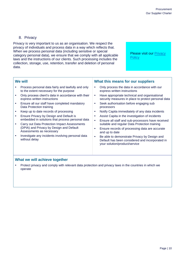#### 8. Privacy

<span id="page-11-0"></span>Privacy is very important to us as an organisation. We respect the privacy of individuals and process data in a way which reflects that. When we process personal data (including sensitive or special category personal data), we ensure that we comply with all applicable laws and the instructions of our clients. Such processing includes the collection, storage, use, retention, transfer and deletion of personal data.

Please visit our Privacy **[Policy](https://www.capita.com/sites/g/files/nginej291/files/2021-10/Privacy-Policy-Global.pdf)** 

#### **We will**

- Process personal data fairly and lawfully and only to the extent necessary for the purpose
- Only process client's data in accordance with their express written instructions
- Ensure all our staff have completed mandatory Data Protection training
- Keep up to date records of processing
- Ensure Privacy by Design and Default is embedded in solutions that process personal data
- Carry out Data Protection Impact Assessments (DPIA) and Privacy by Design and Default Assessments as necessary
- Investigate any incidents involving personal data without delay

#### **What this means for our suppliers**

- Only process the data in accordance with our express written instructions
- Have appropriate technical and organisational security measures in place to protect personal data
- Seek authorisation before engaging sub processors
- Notify Capita immediately of any data incidents
- Assist Capita in the investigation of incidents
- Ensure all staff and sub-processors have received suitable and regular Data Protection training
- Ensure records of processing data are accurate and up to date
- Be able to demonstrate Privacy by Design and Default has been considered and incorporated in your solution/product/service

#### **What we will achieve together**

 Protect privacy and comply with relevant data protection and privacy laws in the countries in which we operate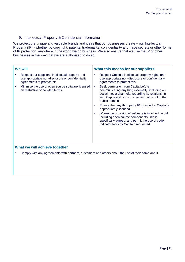#### 9. Intellectual Property & Confidential Information

<span id="page-12-0"></span>We protect the unique and valuable brands and ideas that our businesses create – our Intellectual Property (IP) - whether by copyright, patents, trademarks, confidentiality and trade secrets or other forms of IP protection, anywhere in the world we do business. We also ensure that we use the IP of other businesses in the way that we are authorised to do so.

| <b>We will</b>                |                                                                                                                                     | What this means for our suppliers                                                                                                                                                                                                                                                                                                                                                                                                                                                                                                 |  |  |
|-------------------------------|-------------------------------------------------------------------------------------------------------------------------------------|-----------------------------------------------------------------------------------------------------------------------------------------------------------------------------------------------------------------------------------------------------------------------------------------------------------------------------------------------------------------------------------------------------------------------------------------------------------------------------------------------------------------------------------|--|--|
|                               | Respect our suppliers' intellectual property and<br>use appropriate non-disclosure or confidentiality<br>agreements to protect this | Respect Capita's intellectual property rights and<br>$\bullet$<br>use appropriate non-disclosure or confidentially<br>agreements to protect this                                                                                                                                                                                                                                                                                                                                                                                  |  |  |
| ٠                             | Minimise the use of open source software licensed<br>on restrictive or copyleft terms                                               | Seek permission from Capita before<br>$\bullet$<br>communicating anything externally, including on<br>social media channels, regarding its relationship<br>with Capita and our subsidiaries that is not in the<br>public domain<br>Ensure that any third party IP provided to Capita is<br>٠<br>appropriately licenced<br>Where the provision of software is involved, avoid<br>$\bullet$<br>including open source components unless<br>specifically agreed, and permit the use of code<br>indicator tools by Capita if requested |  |  |
| What we will achieve together |                                                                                                                                     |                                                                                                                                                                                                                                                                                                                                                                                                                                                                                                                                   |  |  |
|                               | Comply with any agreements with partners, customers and others about the use of their name and IP                                   |                                                                                                                                                                                                                                                                                                                                                                                                                                                                                                                                   |  |  |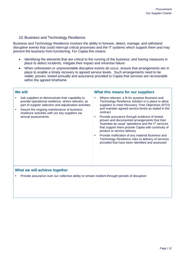#### 10.Business and Technology Resilience

<span id="page-13-0"></span>Business and Technology Resilience involves the ability to foresee, detect, manage, and withstand disruptive events that could interrupt critical processes and the IT systems which support them and may prevent the business from functioning. For Capita this means:

- Identifying the elements that are critical to the running of the business; and having measures in place to detect incidents, mitigate their impact and minimise failure
- When unforeseen or unpreventable disruptive events do occur, ensure that arrangements are in place to enable a timely recovery to agreed service levels. Such arrangements need to be viable, proven, tested annually and assurance provided to Capita that services are recoverable within the agreed timeframe

| We will                                                                                                                                                                                                                                                                                  | What this means for our suppliers                                                                                                                                                                                                                                                                                                                                                                                                                                                                                                                                                                                                                        |  |  |  |
|------------------------------------------------------------------------------------------------------------------------------------------------------------------------------------------------------------------------------------------------------------------------------------------|----------------------------------------------------------------------------------------------------------------------------------------------------------------------------------------------------------------------------------------------------------------------------------------------------------------------------------------------------------------------------------------------------------------------------------------------------------------------------------------------------------------------------------------------------------------------------------------------------------------------------------------------------------|--|--|--|
| Ask suppliers to demonstrate their capability to<br>provide operational resilience, where relevant, as<br>part of supplier selection and adjudication activities<br>Assure the ongoing maintenance of business<br>resilience activities with our key suppliers via<br>annual assessments | Where relevant, a fit for purpose Business and<br>٠<br>Technology Resilience solution is in place to allow<br>suppliers to meet Recovery Time Objectives (RTO)<br>and maintain agreed service levels as stated in the<br>contract<br>Provide assurance through evidence of tested,<br>٠<br>proven and documented arrangements that their<br>'business as usual' operations and the IT services<br>that support them provide Capita with continuity of<br>product or service delivery<br>Provide notification of any material Business and<br>٠<br>Technology Resilience risks to delivery of services<br>provided that have been identified and assessed |  |  |  |
| What we will achieve together                                                                                                                                                                                                                                                            |                                                                                                                                                                                                                                                                                                                                                                                                                                                                                                                                                                                                                                                          |  |  |  |

Provide assurance over our collective ability to remain resilient through periods of disruption